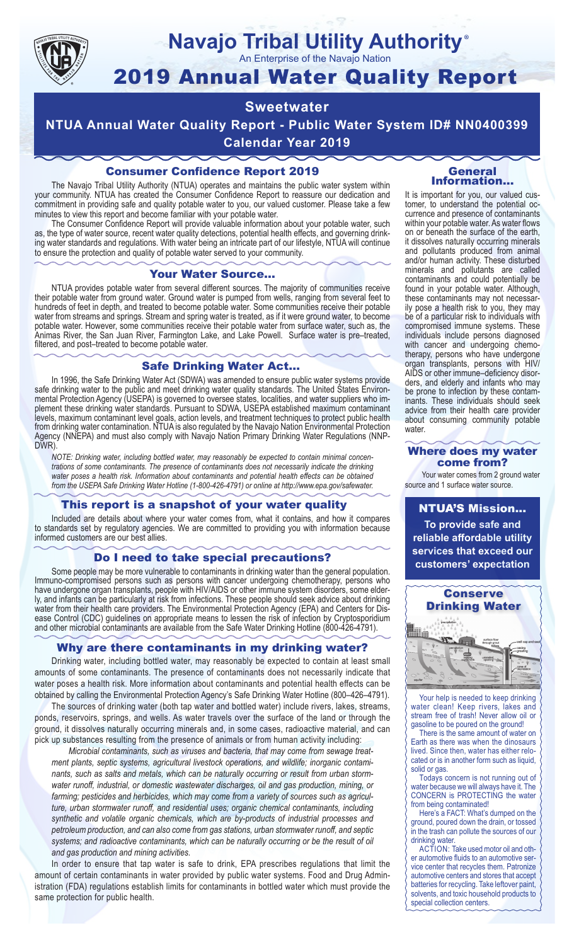

# **Navajo Tribal Utility Authority** ®

An Enterprise of the Navajo Nation

# 2019 Annual Water Quality Report

# **Sweetwater**

**NTUA Annual Water Quality Report - Public Water System ID# NN0400399 Calendar Year 2019**

# Consumer Confidence Report 2019

The Navajo Tribal Utility Authority (NTUA) operates and maintains the public water system within your community. NTUA has created the Consumer Confidence Report to reassure our dedication and commitment in providing safe and quality potable water to you, our valued customer. Please take a few minutes to view this report and become familiar with your potable water.

The Consumer Confidence Report will provide valuable information about your potable water, such as, the type of water source, recent water quality detections, potential health effects, and governing drinking water standards and regulations. With water being an intricate part of our lifestyle, NTUA will continue to ensure the protection and quality of potable water served to your community.

#### Your Water Source…

NTUA provides potable water from several different sources. The majority of communities receive their potable water from ground water. Ground water is pumped from wells, ranging from several feet to hundreds of feet in depth, and treated to become potable water. Some communities receive their potable water from streams and springs. Stream and spring water is treated, as if it were ground water, to become potable water. However, some communities receive their potable water from surface water, such as, the Animas River, the San Juan River, Farmington Lake, and Lake Powell. Surface water is pre–treated, filtered, and post–treated to become potable water.

#### Safe Drinking Water Act…

In 1996, the Safe Drinking Water Act (SDWA) was amended to ensure public water systems provide safe drinking water to the public and meet drinking water quality standards. The United States Environmental Protection Agency (USEPA) is governed to oversee states, localities, and water suppliers who implement these drinking water standards. Pursuant to SDWA, USEPA established maximum contaminant levels, maximum contaminant level goals, action levels, and treatment techniques to protect public health from drinking water contamination. NTUA is also regulated by the Navajo Nation Environmental Protection Agency (NNEPA) and must also comply with Navajo Nation Primary Drinking Water Regulations (NNP-DWR)

*NOTE: Drinking water, including bottled water, may reasonably be expected to contain minimal concentrations of some contaminants. The presence of contaminants does not necessarily indicate the drinking water poses a health risk. Information about contaminants and potential health effects can be obtained from the USEPA Safe Drinking Water Hotline (1-800-426-4791) or online at http://www.epa.gov/safewater.*

#### This report is a snapshot of your water quality

Included are details about where your water comes from, what it contains, and how it compares to standards set by regulatory agencies. We are committed to providing you with information because informed customers are our best allies.

#### Do I need to take special precautions?

Some people may be more vulnerable to contaminants in drinking water than the general population. Immuno-compromised persons such as persons with cancer undergoing chemotherapy, persons who have undergone organ transplants, people with HIV/AIDS or other immune system disorders, some elderly, and infants can be particularly at risk from infections. These people should seek advice about drinking water from their health care providers. The Environmental Protection Agency (EPA) and Centers for Disease Control (CDC) guidelines on appropriate means to lessen the risk of infection by Cryptosporidium and other microbial contaminants are available from the Safe Water Drinking Hotline (800-426-4791).

#### Why are there contaminants in my drinking water?

Drinking water, including bottled water, may reasonably be expected to contain at least small amounts of some contaminants. The presence of contaminants does not necessarily indicate that water poses a health risk. More information about contaminants and potential health effects can be obtained by calling the Environmental Protection Agency's Safe Drinking Water Hotline (800–426–4791).

The sources of drinking water (both tap water and bottled water) include rivers, lakes, streams, ponds, reservoirs, springs, and wells. As water travels over the surface of the land or through the ground, it dissolves naturally occurring minerals and, in some cases, radioactive material, and can pick up substances resulting from the presence of animals or from human activity including:

*Microbial contaminants, such as viruses and bacteria, that may come from sewage treatment plants, septic systems, agricultural livestock operations, and wildlife; inorganic contaminants, such as salts and metals, which can be naturally occurring or result from urban stormwater runoff, industrial, or domestic wastewater discharges, oil and gas production, mining, or farming; pesticides and herbicides, which may come from a variety of sources such as agriculture, urban stormwater runoff, and residential uses; organic chemical contaminants, including synthetic and volatile organic chemicals, which are by-products of industrial processes and petroleum production, and can also come from gas stations, urban stormwater runoff, and septic systems; and radioactive contaminants, which can be naturally occurring or be the result of oil and gas production and mining activities.*

In order to ensure that tap water is safe to drink, EPA prescribes regulations that limit the amount of certain contaminants in water provided by public water systems. Food and Drug Administration (FDA) regulations establish limits for contaminants in bottled water which must provide the same protection for public health.

#### General Information…

It is important for you, our valued customer, to understand the potential occurrence and presence of contaminants within your potable water. As water flows on or beneath the surface of the earth, it dissolves naturally occurring minerals and pollutants produced from animal and/or human activity. These disturbed minerals and pollutants are called contaminants and could potentially be found in your potable water. Although, these contaminants may not necessarily pose a health risk to you, they may be of a particular risk to individuals with compromised immune systems. These individuals include persons diagnosed with cancer and undergoing chemo-<br>therapy, persons who have undergone organ transplants, persons with HIV/ AIDS or other immune–deficiency disor- ders, and elderly and infants who may be prone to infection by these contam- inants. These individuals should seek advice from their health care provider about consuming community potable water.

#### Where does my water come from?

Your water comes from 2 ground water source and 1 surface water source.

NTUA'S Mission... **To provide safe and reliable affordable utility services that exceed our customers' expectation**



Your help is needed to keep drinking water clean! Keep rivers, lakes and stream free of trash! Never allow oil or gasoline to be poured on the ground!

There is the same amount of water on Earth as there was when the dinosaurs lived. Since then, water has either relocated or is in another form such as liquid, solid or gas.

Todays concern is not running out of water because we will always have it. The CONCERN is PROTECTING the water from being contaminated!

Here's a FACT: What's dumped on the ground, poured down the drain, or tossed in the trash can pollute the sources of our drinking water.

ACTION: Take used motor oil and other automotive fluids to an automotive service center that recycles them. Patronize automotive centers and stores that accept batteries for recycling. Take leftover paint, solvents, and toxic household products to special collection centers.